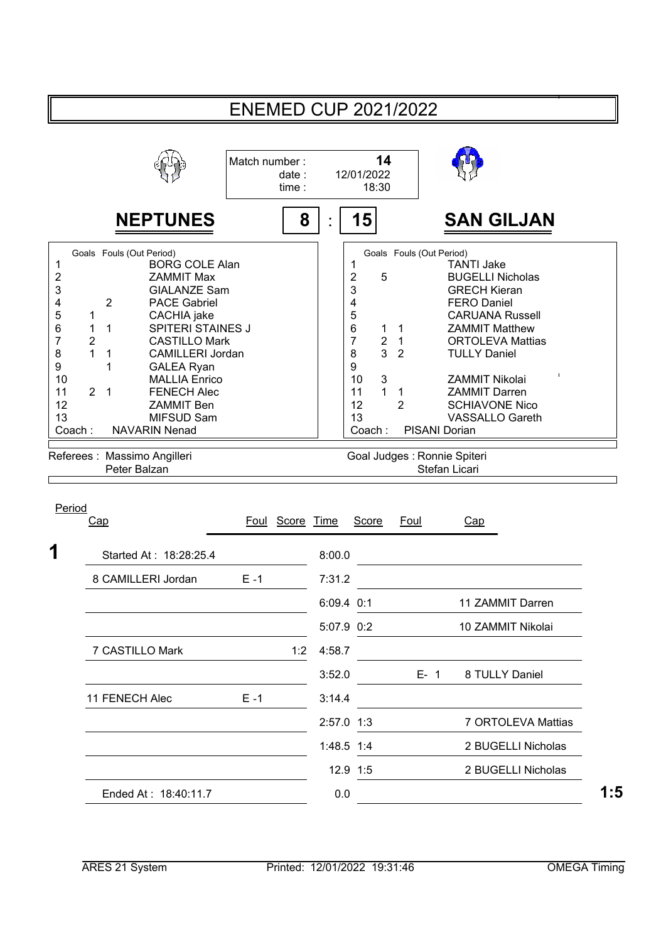|                                                                                                                                                                                                                                                                                                                                                                                                                                                                                                                                                                                        | <b>ENEMED CUP 2021/2022</b>     |            |                                                                                                                                                                      |                                                                                          |                                                                                                                                                                                                                                                                                                                                                                      |
|----------------------------------------------------------------------------------------------------------------------------------------------------------------------------------------------------------------------------------------------------------------------------------------------------------------------------------------------------------------------------------------------------------------------------------------------------------------------------------------------------------------------------------------------------------------------------------------|---------------------------------|------------|----------------------------------------------------------------------------------------------------------------------------------------------------------------------|------------------------------------------------------------------------------------------|----------------------------------------------------------------------------------------------------------------------------------------------------------------------------------------------------------------------------------------------------------------------------------------------------------------------------------------------------------------------|
|                                                                                                                                                                                                                                                                                                                                                                                                                                                                                                                                                                                        | Match number:<br>date:<br>time: |            | 14<br>12/01/2022<br>18:30                                                                                                                                            |                                                                                          |                                                                                                                                                                                                                                                                                                                                                                      |
| <b>NEPTUNES</b>                                                                                                                                                                                                                                                                                                                                                                                                                                                                                                                                                                        | 8                               |            | 15                                                                                                                                                                   |                                                                                          | <b>SAN GILJAN</b>                                                                                                                                                                                                                                                                                                                                                    |
| Goals Fouls (Out Period)<br><b>BORG COLE Alan</b><br>1<br>2<br><b>ZAMMIT Max</b><br>3<br><b>GIALANZE Sam</b><br>$\overline{2}$<br><b>PACE Gabriel</b><br>4<br>5<br>CACHIA jake<br>1<br><b>SPITERI STAINES J</b><br>6<br>$\mathbf 1$<br>1<br>$\overline{7}$<br>2<br><b>CASTILLO Mark</b><br>1<br>8<br>CAMILLERI Jordan<br>1<br>9<br>1<br><b>GALEA Ryan</b><br>10<br><b>MALLIA Enrico</b><br>11<br>$\overline{2}$<br>$\mathbf{1}$<br><b>FENECH Alec</b><br>12<br><b>ZAMMIT Ben</b><br>13<br>MIFSUD Sam<br>Coach:<br><b>NAVARIN Nenad</b><br>Referees : Massimo Angilleri<br>Peter Balzan |                                 |            | 1<br>$\overline{\mathbf{c}}$<br>5<br>3<br>4<br>5<br>6<br>1<br>$\overline{7}$<br>$\overline{2}$<br>3<br>8<br>9<br>10<br>3<br>$\mathbf{1}$<br>11<br>12<br>13<br>Coach: | Goals Fouls (Out Period)<br>$\overline{1}$<br>1<br>$\overline{2}$<br>1<br>$\overline{2}$ | <b>TANTI Jake</b><br><b>BUGELLI Nicholas</b><br><b>GRECH Kieran</b><br><b>FERO Daniel</b><br><b>CARUANA Russell</b><br><b>ZAMMIT Matthew</b><br><b>ORTOLEVA Mattias</b><br><b>TULLY Daniel</b><br><b>ZAMMIT Nikolai</b><br><b>ZAMMIT Darren</b><br><b>SCHIAVONE Nico</b><br><b>VASSALLO Gareth</b><br>PISANI Dorian<br>Goal Judges : Ronnie Spiteri<br>Stefan Licari |
| Period<br>Cap                                                                                                                                                                                                                                                                                                                                                                                                                                                                                                                                                                          | Foul Score Time                 |            | <b>Score</b>                                                                                                                                                         | Foul                                                                                     | Cap                                                                                                                                                                                                                                                                                                                                                                  |
| 1<br>Started At: 18:28:25.4                                                                                                                                                                                                                                                                                                                                                                                                                                                                                                                                                            |                                 | 8:00.0     |                                                                                                                                                                      |                                                                                          |                                                                                                                                                                                                                                                                                                                                                                      |
| 8 CAMILLERI Jordan                                                                                                                                                                                                                                                                                                                                                                                                                                                                                                                                                                     | $E - 1$                         | 7:31.2     |                                                                                                                                                                      |                                                                                          |                                                                                                                                                                                                                                                                                                                                                                      |
|                                                                                                                                                                                                                                                                                                                                                                                                                                                                                                                                                                                        |                                 | 6:09.4 0:1 |                                                                                                                                                                      |                                                                                          | 11 ZAMMIT Darren                                                                                                                                                                                                                                                                                                                                                     |
|                                                                                                                                                                                                                                                                                                                                                                                                                                                                                                                                                                                        |                                 |            | 5:07.9 0:2                                                                                                                                                           |                                                                                          | 10 ZAMMIT Nikolai                                                                                                                                                                                                                                                                                                                                                    |
| 7 CASTILLO Mark                                                                                                                                                                                                                                                                                                                                                                                                                                                                                                                                                                        | 1:2                             | 4:58.7     |                                                                                                                                                                      |                                                                                          |                                                                                                                                                                                                                                                                                                                                                                      |
|                                                                                                                                                                                                                                                                                                                                                                                                                                                                                                                                                                                        |                                 | 3:52.0     |                                                                                                                                                                      | $E - 1$                                                                                  | 8 TULLY Daniel                                                                                                                                                                                                                                                                                                                                                       |
| 11 FENECH Alec                                                                                                                                                                                                                                                                                                                                                                                                                                                                                                                                                                         | $E - 1$                         | 3:14.4     |                                                                                                                                                                      |                                                                                          |                                                                                                                                                                                                                                                                                                                                                                      |
|                                                                                                                                                                                                                                                                                                                                                                                                                                                                                                                                                                                        |                                 |            | 2:57.0 1:3                                                                                                                                                           |                                                                                          | 7 ORTOLEVA Mattias                                                                                                                                                                                                                                                                                                                                                   |
|                                                                                                                                                                                                                                                                                                                                                                                                                                                                                                                                                                                        |                                 |            | 1:48.5 1:4                                                                                                                                                           |                                                                                          | 2 BUGELLI Nicholas                                                                                                                                                                                                                                                                                                                                                   |
|                                                                                                                                                                                                                                                                                                                                                                                                                                                                                                                                                                                        |                                 |            | 12.9 1:5                                                                                                                                                             |                                                                                          | 2 BUGELLI Nicholas                                                                                                                                                                                                                                                                                                                                                   |
| Ended At: 18:40:11.7                                                                                                                                                                                                                                                                                                                                                                                                                                                                                                                                                                   |                                 | $0.0\,$    |                                                                                                                                                                      |                                                                                          |                                                                                                                                                                                                                                                                                                                                                                      |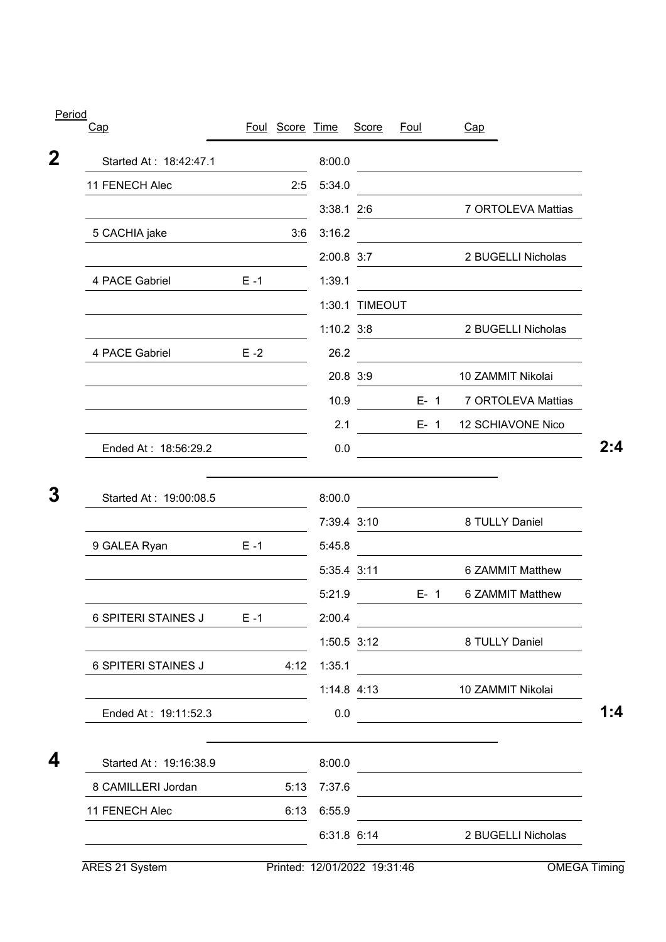|                                                                   |         | Foul Score Time |              | Score          | Foul    |         | Cap                                                                                                                  |
|-------------------------------------------------------------------|---------|-----------------|--------------|----------------|---------|---------|----------------------------------------------------------------------------------------------------------------------|
| Started At: 18:42:47.1                                            |         |                 | 8:00.0       |                |         |         | <u> 1980 - Johann Barn, mars ann an t-Amhain Aonaich an t-Aonaich an t-Aonaich ann an t-Aonaich ann an t-Aonaich</u> |
| 11 FENECH Alec                                                    |         | 2:5             | 5:34.0       |                |         |         |                                                                                                                      |
|                                                                   |         |                 | $3:38.1$ 2:6 |                |         |         | 7 ORTOLEVA Mattias                                                                                                   |
| 5 CACHIA jake                                                     |         | 3:6             | 3:16.2       |                |         |         |                                                                                                                      |
|                                                                   |         |                 | $2:00.8$ 3:7 |                |         |         | 2 BUGELLI Nicholas                                                                                                   |
| 4 PACE Gabriel                                                    | $E - 1$ |                 | 1:39.1       |                |         |         |                                                                                                                      |
|                                                                   |         |                 |              | 1:30.1 TIMEOUT |         |         |                                                                                                                      |
|                                                                   |         |                 | $1:10.2$ 3:8 |                |         |         | 2 BUGELLI Nicholas                                                                                                   |
| 4 PACE Gabriel                                                    | $E - 2$ |                 | 26.2         |                |         |         |                                                                                                                      |
|                                                                   |         |                 |              | 20.8 3:9       |         |         | 10 ZAMMIT Nikolai                                                                                                    |
|                                                                   |         |                 | 10.9         |                |         | $E - 1$ | 7 ORTOLEVA Mattias                                                                                                   |
|                                                                   |         |                 | 2.1          |                | $E - 1$ |         | 12 SCHIAVONE Nico                                                                                                    |
| Ended At: 18:56:29.2                                              |         |                 | 0.0          |                |         |         | $\mathcal{L}^{\text{max}}_{\text{max}}$                                                                              |
|                                                                   |         |                 |              |                |         |         |                                                                                                                      |
| Started At: 19:00:08.5                                            |         |                 | 8:00.0       |                |         |         |                                                                                                                      |
|                                                                   |         |                 |              |                |         |         |                                                                                                                      |
|                                                                   |         |                 |              | 7:39.4 3:10    |         |         | 8 TULLY Daniel                                                                                                       |
|                                                                   | $E - 1$ |                 | 5:45.8       |                |         |         |                                                                                                                      |
|                                                                   |         |                 | 5:35.4 3:11  |                |         |         | 6 ZAMMIT Matthew                                                                                                     |
|                                                                   |         |                 | 5:21.9       |                |         | $E - 1$ | 6 ZAMMIT Matthew                                                                                                     |
|                                                                   | $E - 1$ |                 | 2:00.4       |                |         |         |                                                                                                                      |
|                                                                   |         |                 |              | 1:50.5 3:12    |         |         | 8 TULLY Daniel                                                                                                       |
| 9 GALEA Ryan<br>6 SPITERI STAINES J<br><b>6 SPITERI STAINES J</b> |         | 4:12            | 1:35.1       |                |         |         |                                                                                                                      |
|                                                                   |         |                 |              | 1:14.8 4:13    |         |         | 10 ZAMMIT Nikolai                                                                                                    |
| Ended At: 19:11:52.3                                              |         |                 | 0.0          |                |         |         |                                                                                                                      |
|                                                                   |         |                 |              |                |         |         |                                                                                                                      |
| Started At: 19:16:38.9                                            |         |                 | 8:00.0       |                |         |         | the control of the control of the control of the control of the                                                      |
| 8 CAMILLERI Jordan                                                |         |                 | 5:13 7:37.6  |                |         |         |                                                                                                                      |
| 11 FENECH Alec                                                    |         | 6:13            | 6:55.9       | 6:31.8 6:14    |         |         | 2 BUGELLI Nicholas                                                                                                   |